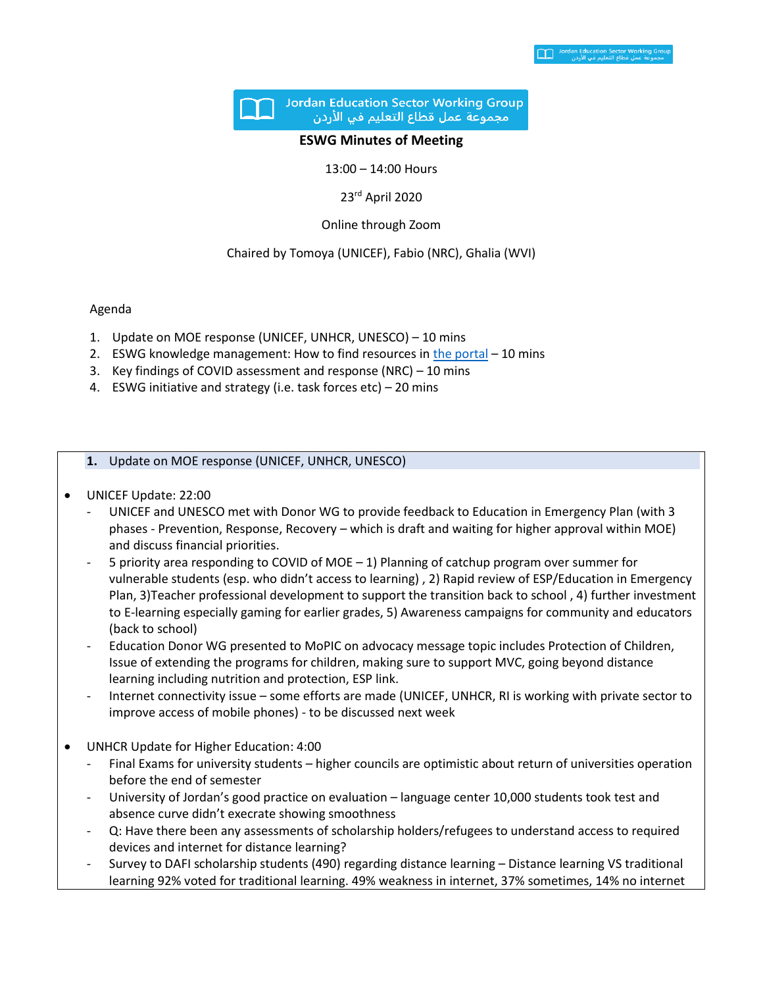

### **ESWG Minutes of Meeting**

13:00 – 14:00 Hours

23rd April 2020

Online through Zoom

### Chaired by Tomoya (UNICEF), Fabio (NRC), Ghalia (WVI)

### Agenda

- 1. Update on MOE response (UNICEF, UNHCR, UNESCO) 10 mins
- 2. ESWG knowledge management: How to find resources i[n the portal](https://eur02.safelinks.protection.outlook.com/?url=https%3A%2F%2Fdata2.unhcr.org%2Fen%2Fworking-group%2F45&data=02%7C01%7Chaddade%40unhcr.org%7C60307cdf2d3945d6826808d7e6f09fa8%7Ce5c37981666441348a0c6543d2af80be%7C0%7C0%7C637231793465805550&sdata=4qVb5DDVYZeqhdngp4aWk%2BgzNsGYURK64pBfCeO2PB8%3D&reserved=0) 10 mins
- 3. Key findings of COVID assessment and response (NRC) 10 mins
- 4. ESWG initiative and strategy (i.e. task forces etc) 20 mins

**1.** Update on MOE response (UNICEF, UNHCR, UNESCO)

- UNICEF Update: 22:00
	- UNICEF and UNESCO met with Donor WG to provide feedback to Education in Emergency Plan (with 3 phases - Prevention, Response, Recovery – which is draft and waiting for higher approval within MOE) and discuss financial priorities.
	- 5 priority area responding to COVID of MOE 1) Planning of catchup program over summer for vulnerable students (esp. who didn't access to learning) , 2) Rapid review of ESP/Education in Emergency Plan, 3)Teacher professional development to support the transition back to school , 4) further investment to E-learning especially gaming for earlier grades, 5) Awareness campaigns for community and educators (back to school)
	- Education Donor WG presented to MoPIC on advocacy message topic includes Protection of Children, Issue of extending the programs for children, making sure to support MVC, going beyond distance learning including nutrition and protection, ESP link.
	- Internet connectivity issue some efforts are made (UNICEF, UNHCR, RI is working with private sector to improve access of mobile phones) - to be discussed next week
- UNHCR Update for Higher Education: 4:00
	- Final Exams for university students higher councils are optimistic about return of universities operation before the end of semester
	- University of Jordan's good practice on evaluation language center 10,000 students took test and absence curve didn't execrate showing smoothness
	- Q: Have there been any assessments of scholarship holders/refugees to understand access to required devices and internet for distance learning?
	- Survey to DAFI scholarship students (490) regarding distance learning Distance learning VS traditional learning 92% voted for traditional learning. 49% weakness in internet, 37% sometimes, 14% no internet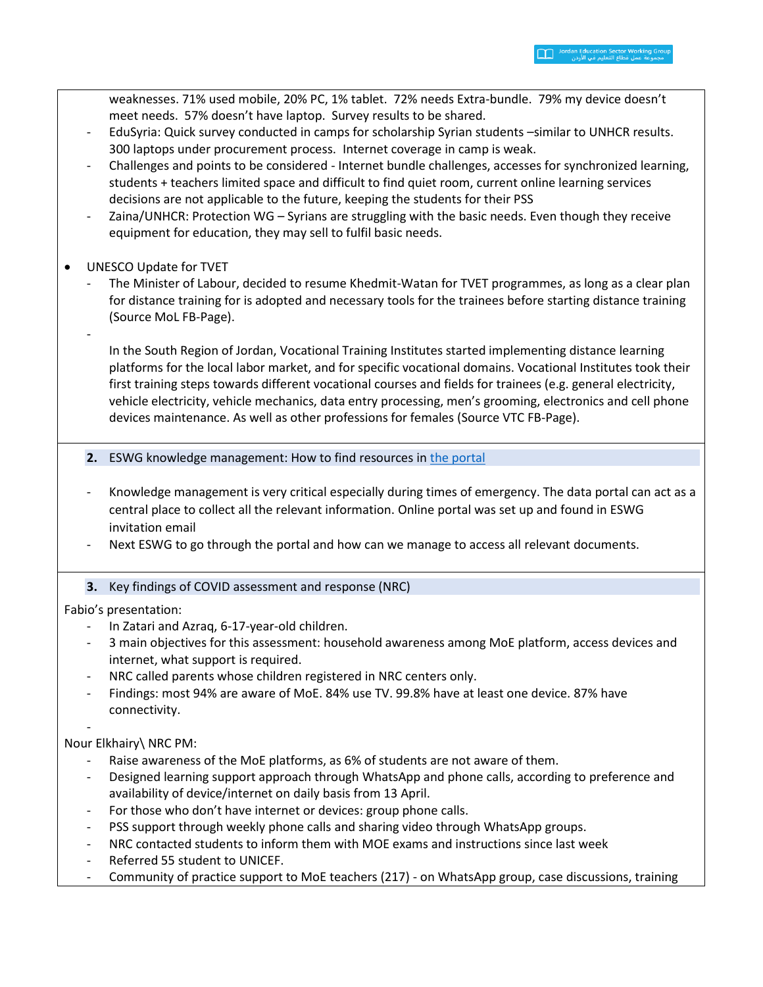weaknesses. 71% used mobile, 20% PC, 1% tablet. 72% needs Extra-bundle. 79% my device doesn't meet needs. 57% doesn't have laptop. Survey results to be shared. - EduSyria: Quick survey conducted in camps for scholarship Syrian students –similar to UNHCR results. 300 laptops under procurement process. Internet coverage in camp is weak. - Challenges and points to be considered - Internet bundle challenges, accesses for synchronized learning, students + teachers limited space and difficult to find quiet room, current online learning services decisions are not applicable to the future, keeping the students for their PSS Zaina/UNHCR: Protection WG – Syrians are struggling with the basic needs. Even though they receive equipment for education, they may sell to fulfil basic needs. • UNESCO Update for TVET The Minister of Labour, decided to resume Khedmit-Watan for TVET programmes, as long as a clear plan for distance training for is adopted and necessary tools for the trainees before starting distance training (Source MoL FB-Page). - In the South Region of Jordan, Vocational Training Institutes started implementing distance learning platforms for the local labor market, and for specific vocational domains. Vocational Institutes took their first training steps towards different vocational courses and fields for trainees (e.g. general electricity, vehicle electricity, vehicle mechanics, data entry processing, men's grooming, electronics and cell phone devices maintenance. As well as other professions for females (Source VTC FB-Page). **2.** ESWG knowledge management: How to find resources in [the portal](https://eur02.safelinks.protection.outlook.com/?url=https%3A%2F%2Fdata2.unhcr.org%2Fen%2Fworking-group%2F45&data=02%7C01%7Chaddade%40unhcr.org%7C60307cdf2d3945d6826808d7e6f09fa8%7Ce5c37981666441348a0c6543d2af80be%7C0%7C0%7C637231793465805550&sdata=4qVb5DDVYZeqhdngp4aWk%2BgzNsGYURK64pBfCeO2PB8%3D&reserved=0) - Knowledge management is very critical especially during times of emergency. The data portal can act as a

- central place to collect all the relevant information. Online portal was set up and found in ESWG invitation email
- Next ESWG to go through the portal and how can we manage to access all relevant documents.

# **3.** Key findings of COVID assessment and response (NRC)

Fabio's presentation:

- In Zatari and Azraq, 6-17-year-old children.
- 3 main objectives for this assessment: household awareness among MoE platform, access devices and internet, what support is required.
- NRC called parents whose children registered in NRC centers only.
- Findings: most 94% are aware of MoE. 84% use TV. 99.8% have at least one device. 87% have connectivity.

-

## Nour Elkhairy\ NRC PM:

- Raise awareness of the MoE platforms, as 6% of students are not aware of them.
- Designed learning support approach through WhatsApp and phone calls, according to preference and availability of device/internet on daily basis from 13 April.
- For those who don't have internet or devices: group phone calls.
- PSS support through weekly phone calls and sharing video through WhatsApp groups.
- NRC contacted students to inform them with MOE exams and instructions since last week
- Referred 55 student to UNICEF.
- Community of practice support to MoE teachers (217) on WhatsApp group, case discussions, training